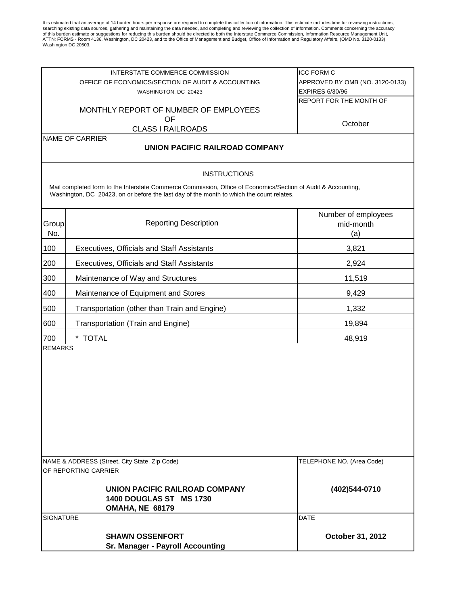It is estimated that an average of 14 burden hours per response are required to complete this collection of information. This estimate includes time for reviewing instructions, searching existing data sources, gathering an

|                                               | INTERSTATE COMMERCE COMMISSION                                                                                                                                                                            | <b>ICC FORM C</b>               |
|-----------------------------------------------|-----------------------------------------------------------------------------------------------------------------------------------------------------------------------------------------------------------|---------------------------------|
|                                               | OFFICE OF ECONOMICS/SECTION OF AUDIT & ACCOUNTING                                                                                                                                                         | APPROVED BY OMB (NO. 3120-0133) |
|                                               | WASHINGTON, DC 20423                                                                                                                                                                                      | <b>EXPIRES 6/30/96</b>          |
|                                               |                                                                                                                                                                                                           | REPORT FOR THE MONTH OF         |
|                                               | MONTHLY REPORT OF NUMBER OF EMPLOYEES                                                                                                                                                                     |                                 |
|                                               | OF<br><b>CLASS I RAILROADS</b>                                                                                                                                                                            | October                         |
|                                               | NAME OF CARRIER                                                                                                                                                                                           |                                 |
|                                               | UNION PACIFIC RAILROAD COMPANY                                                                                                                                                                            |                                 |
|                                               | <b>INSTRUCTIONS</b>                                                                                                                                                                                       |                                 |
|                                               | Mail completed form to the Interstate Commerce Commission, Office of Economics/Section of Audit & Accounting,<br>Washington, DC 20423, on or before the last day of the month to which the count relates. |                                 |
|                                               |                                                                                                                                                                                                           | Number of employees             |
| Group                                         | <b>Reporting Description</b>                                                                                                                                                                              | mid-month                       |
| No.                                           |                                                                                                                                                                                                           | (a)                             |
| 100                                           | Executives, Officials and Staff Assistants                                                                                                                                                                | 3,821                           |
| 200                                           | Executives, Officials and Staff Assistants                                                                                                                                                                | 2,924                           |
| 300                                           | Maintenance of Way and Structures                                                                                                                                                                         | 11,519                          |
| 400                                           | Maintenance of Equipment and Stores                                                                                                                                                                       | 9,429                           |
| 500                                           | Transportation (other than Train and Engine)                                                                                                                                                              | 1,332                           |
| 600                                           | Transportation (Train and Engine)                                                                                                                                                                         | 19,894                          |
| 700                                           | * TOTAL                                                                                                                                                                                                   | 48,919                          |
| <b>REMARKS</b>                                |                                                                                                                                                                                                           |                                 |
| NAME & ADDRESS (Street, City State, Zip Code) |                                                                                                                                                                                                           | TELEPHONE NO. (Area Code)       |
|                                               | OF REPORTING CARRIER                                                                                                                                                                                      |                                 |
| UNION PACIFIC RAILROAD COMPANY                |                                                                                                                                                                                                           | (402)544-0710                   |
| <b>1400 DOUGLAS ST MS 1730</b>                |                                                                                                                                                                                                           |                                 |
|                                               | OMAHA, NE 68179                                                                                                                                                                                           |                                 |
| <b>SIGNATURE</b>                              |                                                                                                                                                                                                           | <b>DATE</b>                     |
|                                               | <b>SHAWN OSSENFORT</b>                                                                                                                                                                                    |                                 |
|                                               | <b>Sr. Manager - Payroll Accounting</b>                                                                                                                                                                   | October 31, 2012                |
|                                               |                                                                                                                                                                                                           |                                 |